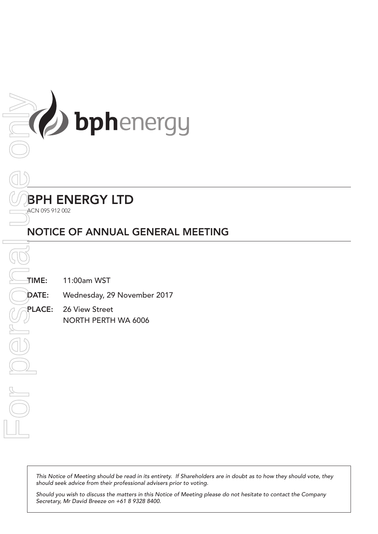

# BPH ENERGY LTD

ACN 095 912 002

# NOTICE OF ANNUAL GENERAL MEETING

TIME: 11:00am WST

DATE: Wednesday, 29 November 2017

PLACE: 26 View Street NORTH PERTH WA 6006

This Notice of Meeting should be read in its entirety. If Shareholders are in doubt as to how they should vote, they *should seek advice from their professional advisers prior to voting.*

*Should you wish to discuss the matters in this Notice of Meeting please do not hesitate to contact the Company*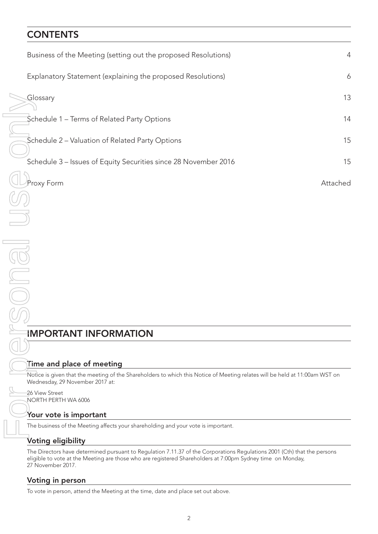# **CONTENTS**

| Business of the Meeting (setting out the proposed Resolutions)                                                                                                                                                                                              | $\overline{4}$ |
|-------------------------------------------------------------------------------------------------------------------------------------------------------------------------------------------------------------------------------------------------------------|----------------|
| Explanatory Statement (explaining the proposed Resolutions)                                                                                                                                                                                                 | 6              |
| Glossary                                                                                                                                                                                                                                                    | 13             |
| Schedule 1 - Terms of Related Party Options                                                                                                                                                                                                                 | 14             |
| Schedule 2 - Valuation of Related Party Options                                                                                                                                                                                                             | 15             |
| Schedule 3 - Issues of Equity Securities since 28 November 2016                                                                                                                                                                                             | 15             |
| Proxy Form                                                                                                                                                                                                                                                  | Attached       |
|                                                                                                                                                                                                                                                             |                |
|                                                                                                                                                                                                                                                             |                |
|                                                                                                                                                                                                                                                             |                |
|                                                                                                                                                                                                                                                             |                |
|                                                                                                                                                                                                                                                             |                |
|                                                                                                                                                                                                                                                             |                |
|                                                                                                                                                                                                                                                             |                |
| <b>IMPORTANT INFORMATION</b>                                                                                                                                                                                                                                |                |
|                                                                                                                                                                                                                                                             |                |
| Time and place of meeting                                                                                                                                                                                                                                   |                |
| Notice is given that the meeting of the Shareholders to which this Notice of Meeting relates will be held at 11:00am WST on<br>Wednesday, 29 November 2017 at:                                                                                              |                |
| 26 View Street<br>NORTH PERTH WA 6006                                                                                                                                                                                                                       |                |
| Your vote is important                                                                                                                                                                                                                                      |                |
| The business of the Meeting affects your shareholding and your vote is important.                                                                                                                                                                           |                |
| Voting eligibility                                                                                                                                                                                                                                          |                |
| The Directors have determined pursuant to Regulation 7.11.37 of the Corporations Regulations 2001 (Cth) that the persons<br>eligible to vote at the Meeting are those who are registered Shareholders at 7:00pm Sydney time on Monday,<br>27 November 2017. |                |
| Voting in person                                                                                                                                                                                                                                            |                |
| To vote in person, attend the Meeting at the time, date and place set out above.                                                                                                                                                                            |                |

# IMPORTANT INFORMATION

## Time and place of meeting

## 26 View Street NORTH PERTH WA 6006

## Your vote is important

# Voting eligibility

## Voting in person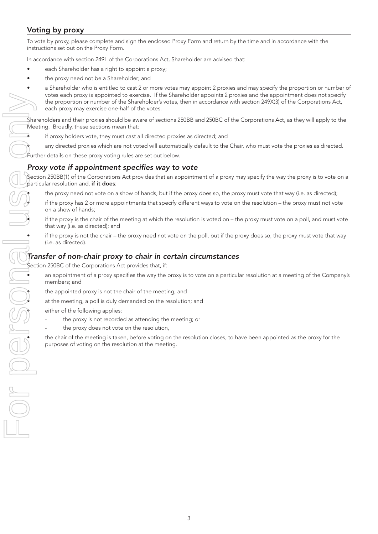## Voting by proxy

To vote by proxy, please complete and sign the enclosed Proxy Form and return by the time and in accordance with the instructions set out on the Proxy Form.

In accordance with section 249L of the Corporations Act, Shareholder are advised that:

- each Shareholder has a right to appoint a proxy;
- the proxy need not be a Shareholder; and

a Shareholder who is entitled to cast 2 or more votes may appoint 2 proxies and may specify the proportion or number of votes each proxy is appointed to exercise. If the Shareholder appoints 2 proxies and the appointment does not specify the proportion or number of the Shareholder's votes, then in accordance with section 249X(3) of the Corporations Act, each proxy may exercise one-half of the votes.

Shareholders and their proxies should be aware of sections 250BB and 250BC of the Corporations Act, as they will apply to the Meeting. Broadly, these sections mean that:

- if proxy holders vote, they must cast all directed proxies as directed; and
- any directed proxies which are not voted will automatically default to the Chair, who must vote the proxies as directed.

Further details on these proxy voting rules are set out below.

## *Proxy vote if appointment specifies way to vote*

Section 250BB(1) of the Corporations Act provides that an appointment of a proxy may specify the way the proxy is to vote on a particular resolution and, if it does:

the proxy need not vote on a show of hands, but if the proxy does so, the proxy must vote that way (i.e. as directed);

• if the proxy has 2 or more appointments that specify different ways to vote on the resolution – the proxy must not vote on a show of hands;

• if the proxy is the chair of the meeting at which the resolution is voted on – the proxy must vote on a poll, and must vote that way (i.e. as directed); and

if the proxy is not the chair – the proxy need not vote on the poll, but if the proxy does so, the proxy must vote that way (i.e. as directed).

## *Transfer of non-chair proxy to chair in certain circumstances*

Section 250BC of the Corporations Act provides that, if:

• an appointment of a proxy specifies the way the proxy is to vote on a particular resolution at a meeting of the Company's members; and

at the meeting, a poll is duly demanded on the resolution; and

either of the following applies:

- the proxy is not recorded as attending the meeting; or
- the proxy does not vote on the resolution,

• the chair of the meeting is taken, before voting on the resolution closes, to have been appointed as the proxy for the purposes of voting on the resolution at the meeting.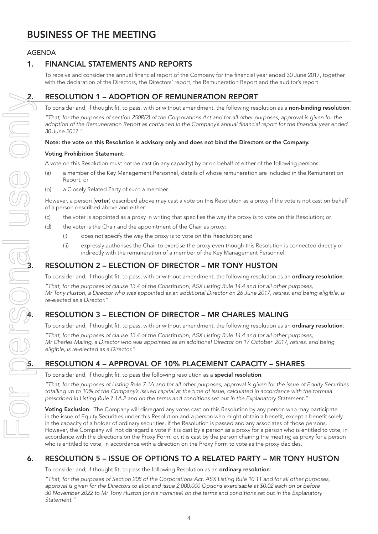# BUSINESS OF THE MEETING

## AGENDA

## 1. FINANCIAL STATEMENTS AND REPORTS

To receive and consider the annual financial report of the Company for the financial year ended 30 June 2017, together with the declaration of the Directors, the Directors' report, the Remuneration Report and the auditor's report.

## 2. RESOLUTION 1 – ADOPTION OF REMUNERATION REPORT

To consider and, if thought fit, to pass, with or without amendment, the following resolution as a non-binding resolution:

*"That, for the purposes of section 250R(2) of the Corporations Act and for all other purposes, approval is given for the adoption of the Remuneration Report as contained in the Company's annual financial report for the financial year ended 30 June 2017."*

## Note: the vote on this Resolution is advisory only and does not bind the Directors or the Company.

### Voting Prohibition Statement:

A vote on this Resolution must not be cast (in any capacity) by or on behalf of either of the following persons:

- (a) a member of the Key Management Personnel, details of whose remuneration are included in the Remuneration Report; or
- (b) a Closely Related Party of such a member.

However, a person (voter) described above may cast a vote on this Resolution as a proxy if the vote is not cast on behalf of a person described above and either:

- (c) the voter is appointed as a proxy in writing that specifies the way the proxy is to vote on this Resolution; or
- (d) the voter is the Chair and the appointment of the Chair as proxy:
	- (i) does not specify the way the proxy is to vote on this Resolution; and
	- (ii) expressly authorises the Chair to exercise the proxy even though this Resolution is connected directly or indirectly with the remuneration of a member of the Key Management Personnel.

To consider and, if thought fit, to pass, with or without amendment, the following resolution as an ordinary resolution:

(i) does not specify the way the proxy is to vote on this Resolution; and<br>
(ii) expressly authorises the Chair to exercise the proxy even though this Resolution<br>
indirectly with the remuneration of a member of the Key Mana *"That, for the purposes of clause 13.4 of the Constitution, ASX Listing Rule 14.4 and for all other purposes, Mr Tony Huston, a Director who was appointed as an additional Director on 26 June 2017, retires, and being eligible, is re-elected as a Director."*

## 4. RESOLUTION 3 – ELECTION OF DIRECTOR – MR CHARLES MALING

To consider and, if thought fit, to pass, with or without amendment, the following resolution as an **ordinary resolution**:

*"That, for the purposes of clause 13.4 of the Constitution, ASX Listing Rule 14.4 and for all other purposes, Mr Charles Maling, a Director who was appointed as an additional Director on 17 October 2017, retires, and being eligible, is re-elected as a Director."*

## 5. RESOLUTION 4 – APPROVAL OF 10% PLACEMENT CAPACITY – SHARES

To consider and, if thought fit, to pass the following resolution as a **special resolution**:

*"That, for the purposes of Listing Rule 7.1A and for all other purposes, approval is given for the issue of Equity Securities totalling up to 10% of the Company's issued capital at the time of issue, calculated in accordance with the formula prescribed in Listing Rule 7.1A.2 and on the terms and conditions set out in the Explanatory Statement."*

Voting Exclusion: The Company will disregard any votes cast on this Resolution by any person who may participate in the issue of Equity Securities under this Resolution and a person who might obtain a benefit, except a benefit solely in the capacity of a holder of ordinary securities, if the Resolution is passed and any associates of those persons. However, the Company will not disregard a vote if it is cast by a person as a proxy for a person who is entitled to vote, in accordance with the directions on the Proxy Form, or, it is cast by the person chairing the meeting as proxy for a person who is entitled to vote, in accordance with a direction on the Proxy Form to vote as the proxy decides.

## 6. RESOLUTION 5 – ISSUE OF OPTIONS TO A RELATED PARTY – MR TONY HUSTON

To consider and, if thought fit, to pass the following Resolution as an **ordinary resolution**:

*"That, for the purposes of Section 208 of the Corporations Act, ASX Listing Rule 10.11 and for all other purposes, approval is given for the Directors to allot and issue 2,000,000 Options exercisable at \$0.02 each on or before 30 November 2022 to Mr Tony Huston (or his nominee) on the terms and conditions set out in the Explanatory Statement."*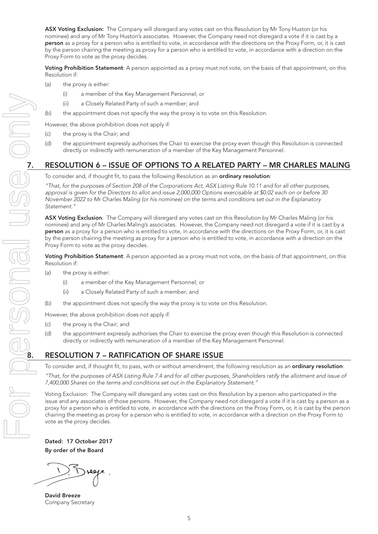ASX Voting Exclusion: The Company will disregard any votes cast on this Resolution by Mr Tony Huston (or his nominee) and any of Mr Tony Huston's associates. However, the Company need not disregard a vote if it is cast by a person as a proxy for a person who is entitled to vote, in accordance with the directions on the Proxy Form, or, it is cast by the person chairing the meeting as proxy for a person who is entitled to vote, in accordance with a direction on the Proxy Form to vote as the proxy decides.

Voting Prohibition Statement: A person appointed as a proxy must not vote, on the basis of that appointment, on this Resolution if:

- (a) the proxy is either:
	- (i) a member of the Key Management Personnel; or
	- (ii) a Closely Related Party of such a member; and
- (b) the appointment does not specify the way the proxy is to vote on this Resolution.

However, the above prohibition does not apply if:

- (c) the proxy is the Chair; and
- (d) the appointment expressly authorises the Chair to exercise the proxy even though this Resolution is connected directly or indirectly with remuneration of a member of the Key Management Personnel.

To consider and, if thought fit, to pass the following Resolution as an ordinary resolution:

*"That, for the purposes of Section 208 of the Corporations Act, ASX Listing Rule 10.11 and for all other purposes, approval is given for the Directors to allot and issue 2,000,000 Options exercisable at \$0.02 each on or before 30 November 2022 to Mr Charles Maling (or his nominee) on the terms and conditions set out in the Explanatory Statement."*

ASX Voting Exclusion: The Company will disregard any votes cast on this Resolution by Mr Charles Maling (or his nominee) and any of Mr Charles Maling's associates. However, the Company need not disregard a vote if it is cast by a person as a proxy for a person who is entitled to vote, in accordance with the directions on the Proxy Form, or, it is cast by the person chairing the meeting as proxy for a person who is entitled to vote, in accordance with a direction on the Proxy Form to vote as the proxy decides.

Voting Prohibition Statement: A person appointed as a proxy must not vote, on the basis of that appointment, on this Resolution if:

- (a) the proxy is either:
	- (i) a member of the Key Management Personnel; or
	- (ii) a Closely Related Party of such a member; and
- (b) the appointment does not specify the way the proxy is to vote on this Resolution.

However, the above prohibition does not apply if:

- (c) the proxy is the Chair; and
- (d) the appointment expressly authorises the Chair to exercise the proxy even though this Resolution is connected directly or indirectly with remuneration of a member of the Key Management Personnel.

## 8. RESOLUTION 7 – RATIFICATION OF SHARE ISSUE

To consider and, if thought fit, to pass, with or without amendment, the following resolution as an **ordinary resolution**:

*"That, for the purposes of ASX Listing Rule 7.4 and for all other purposes, Shareholders ratify the allotment and issue of 7,400,000 Shares on the terms and conditions set out in the Explanatory Statement."*

Voting Exclusion: The Company will disregard any votes cast on this Resolution by a person who participated in the issue and any associates of those persons. However, the Company need not disregard a vote if it is cast by a person as a proxy for a person who is entitled to vote, in accordance with the directions on the Proxy Form, or, it is cast by the person chairing the meeting as proxy for a person who is entitled to vote, in accordance with a direction on the Proxy Form to vote as the proxy decides.

Dated: 17 October 2017 By order of the Board

David Breeze Company Secretary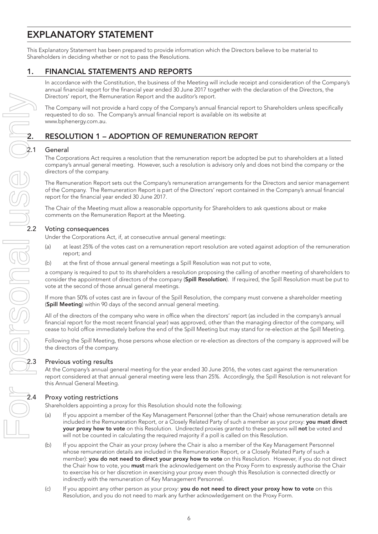# EXPLANATORY STATEMENT

This Explanatory Statement has been prepared to provide information which the Directors believe to be material to Shareholders in deciding whether or not to pass the Resolutions.

## 1. FINANCIAL STATEMENTS AND REPORTS

In accordance with the Constitution, the business of the Meeting will include receipt and consideration of the Company's annual financial report for the financial year ended 30 June 2017 together with the declaration of the Directors, the Directors' report, the Remuneration Report and the auditor's report.

The Company will not provide a hard copy of the Company's annual financial report to Shareholders unless specifically requested to do so. The Company's annual financial report is available on its website at www.bphenergy.com.au.

## 2. RESOLUTION 1 – ADOPTION OF REMUNERATION REPORT

## **General**

The Corporations Act requires a resolution that the remuneration report be adopted be put to shareholders at a listed company's annual general meeting. However, such a resolution is advisory only and does not bind the company or the directors of the company.

The Remuneration Report sets out the Company's remuneration arrangements for the Directors and senior management of the Company. The Remuneration Report is part of the Directors' report contained in the Company's annual financial report for the financial year ended 30 June 2017.

The Chair of the Meeting must allow a reasonable opportunity for Shareholders to ask questions about or make comments on the Remuneration Report at the Meeting.

Under the Corporations Act, if, at consecutive annual general meetings:

- (a) at least 25% of the votes cast on a remuneration report resolution are voted against adoption of the remuneration report; and
- (b) at the first of those annual general meetings a Spill Resolution was not put to vote,

a company is required to put to its shareholders a resolution proposing the calling of another meeting of shareholders to consider the appointment of directors of the company (Spill Resolution). If required, the Spill Resolution must be put to vote at the second of those annual general meetings.

If more than 50% of votes cast are in favour of the Spill Resolution, the company must convene a shareholder meeting (Spill Meeting) within 90 days of the second annual general meeting.

All of the directors of the company who were in office when the directors' report (as included in the company's annual financial report for the most recent financial year) was approved, other than the managing director of the company, will cease to hold office immediately before the end of the Spill Meeting but may stand for re-election at the Spill Meeting.

Following the Spill Meeting, those persons whose election or re-election as directors of the company is approved will be the directors of the company.

## Previous voting results

At the Company's annual general meeting for the year ended 30 June 2016, the votes cast against the remuneration report considered at that annual general meeting were less than 25%. Accordingly, the Spill Resolution is not relevant for this Annual General Meeting.

## Proxy voting restrictions

Shareholders appointing a proxy for this Resolution should note the following:

- (a) If you appoint a member of the Key Management Personnel (other than the Chair) whose remuneration details are included in the Remuneration Report, or a Closely Related Party of such a member as your proxy: you must direct your proxy how to vote on this Resolution. Undirected proxies granted to these persons will not be voted and will not be counted in calculating the required majority if a poll is called on this Resolution.
- (b) If you appoint the Chair as your proxy (where the Chair is also a member of the Key Management Personnel whose remuneration details are included in the Remuneration Report, or a Closely Related Party of such a member): you do not need to direct your proxy how to vote on this Resolution. However, if you do not direct the Chair how to vote, you must mark the acknowledgement on the Proxy Form to expressly authorise the Chair to exercise his or her discretion in exercising your proxy even though this Resolution is connected directly or indirectly with the remuneration of Key Management Personnel.
- (c) If you appoint any other person as your proxy: you do not need to direct your proxy how to vote on this Resolution, and you do not need to mark any further acknowledgement on the Proxy Form.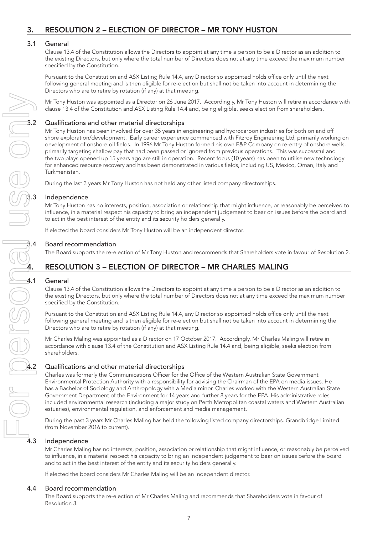## 3.1 General

Clause 13.4 of the Constitution allows the Directors to appoint at any time a person to be a Director as an addition to the existing Directors, but only where the total number of Directors does not at any time exceed the maximum number specified by the Constitution.

Pursuant to the Constitution and ASX Listing Rule 14.4, any Director so appointed holds office only until the next following general meeting and is then eligible for re-election but shall not be taken into account in determining the Directors who are to retire by rotation (if any) at that meeting.

Mr Tony Huston was appointed as a Director on 26 June 2017. Accordingly, Mr Tony Huston will retire in accordance with clause 13.4 of the Constitution and ASX Listing Rule 14.4 and, being eligible, seeks election from shareholders.

Mr Tony Huston was appointed as a Director on 26 June<br>
clause 13.4 of the Constitution and ASX Listing Rule 14.<br>
3.2 Qualifications and other material directorships<br>
Mr Tony Huston has been involved for over 35 years in e<br> Mr Tony Huston has been involved for over 35 years in engineering and hydrocarbon industries for both on and off shore exploration/development. Early career experience commenced with Fitzroy Engineering Ltd, primarily working on development of onshore oil fields. In 1996 Mr Tony Huston formed his own E&P Company on re-entry of onshore wells, primarily targeting shallow pay that had been passed or ignored from previous operations. This was successful and the two plays opened up 15 years ago are still in operation. Recent focus (10 years) has been to utilise new technology for enhanced resource recovery and has been demonstrated in various fields, including US, Mexico, Oman, Italy and Turkmenistan.

During the last 3 years Mr Tony Huston has not held any other listed company directorships.

## **Independence**

Mr Tony Huston has no interests, position, association or relationship that might influence, or reasonably be perceived to influence, in a material respect his capacity to bring an independent judgement to bear on issues before the board and to act in the best interest of the entity and its security holders generally.

If elected the board considers Mr Tony Huston will be an independent director.

## 3.4 Board recommendation

The Board supports the re-election of Mr Tony Huston and recommends that Shareholders vote in favour of Resolution 2.

## 4. RESOLUTION 3 – ELECTION OF DIRECTOR – MR CHARLES MALING

# 4.1 General

Clause 13.4 of the Constitution allows the Directors to appoint at any time a person to be a Director as an addition to the existing Directors, but only where the total number of Directors does not at any time exceed the maximum number specified by the Constitution.

Pursuant to the Constitution and ASX Listing Rule 14.4, any Director so appointed holds office only until the next following general meeting and is then eligible for re-election but shall not be taken into account in determining the Directors who are to retire by rotation (if any) at that meeting.

Mr Charles Maling was appointed as a Director on 17 October 2017. Accordingly, Mr Charles Maling will retire in accordance with clause 13.4 of the Constitution and ASX Listing Rule 14.4 and, being eligible, seeks election from shareholders.

Mr Charles Maury was appointed to the Constitution and AS.<br>
shareholders.<br> **1.2** Qualifications and other material directorships<br>
Charles was formerly the Communications Officer for the<br>
Environmental Protection Authority Charles was formerly the Communications Officer for the Office of the Western Australian State Government Environmental Protection Authority with a responsibility for advising the Chairman of the EPA on media issues. He has a Bachelor of Sociology and Anthropology with a Media minor. Charles worked with the Western Australian State Government Department of the Environment for 14 years and further 8 years for the EPA. His administrative roles included environmental research (including a major study on Perth Metropolitan coastal waters and Western Australian estuaries), environmental regulation, and enforcement and media management.

> During the past 3 years Mr Charles Maling has held the following listed company directorships. Grandbridge Limited (from November 2016 to current).

## 4.3 Independence

Mr Charles Maling has no interests, position, association or relationship that might influence, or reasonably be perceived to influence, in a material respect his capacity to bring an independent judgement to bear on issues before the board and to act in the best interest of the entity and its security holders generally.

If elected the board considers Mr Charles Maling will be an independent director.

## 4.4 Board recommendation

The Board supports the re-election of Mr Charles Maling and recommends that Shareholders vote in favour of Resolution 3.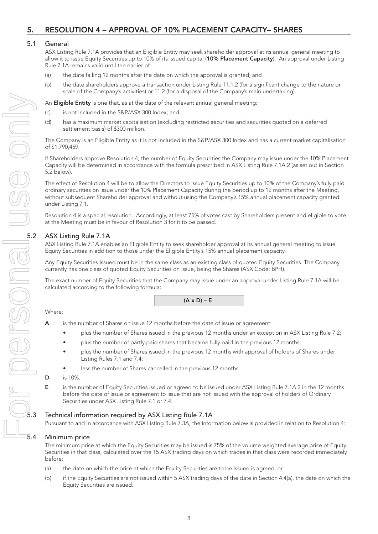## 5. RESOLUTION 4 – APPROVAL OF 10% PLACEMENT CAPACITY– SHARES

### 5.1 General

ASX Listing Rule 7.1A provides that an Eligible Entity may seek shareholder approval at its annual general meeting to allow it to issue Equity Securities up to 10% of its issued capital (10% Placement Capacity). An approval under Listing Rule 7.1A remains valid until the earlier of:

- (a) the date falling 12 months after the date on which the approval is granted; and
- (b) the date shareholders approve a transaction under Listing Rule 11.1.2 (for a significant change to the nature or scale of the Company's activities) or 11.2 (for a disposal of the Company's main undertaking).

An **Eligible Entity** is one that, as at the date of the relevant annual general meeting:

- (c) is not included in the S&P/ASX 300 Index; and
- (d) has a maximum market capitalisation (excluding restricted securities and securities quoted on a deferred settlement basis) of \$300 million.

The Company is an Eligible Entity as it is not included in the S&P/ASX 300 Index and has a current market capitalisation of \$1,790,459.

If Shareholders approve Resolution 4, the number of Equity Securities the Company may issue under the 10% Placement Capacity will be determined in accordance with the formula prescribed in ASX Listing Rule 7.1A.2 (as set out in Section 5.2 below).

The effect of Resolution 4 will be to allow the Directors to issue Equity Securities up to 10% of the Company's fully paid ordinary securities on issue under the 10% Placement Capacity during the period up to 12 months after the Meeting, without subsequent Shareholder approval and without using the Company's 15% annual placement capacity granted under Listing 7.1.

Resolution 4 is a special resolution. Accordingly, at least 75% of votes cast by Shareholders present and eligible to vote at the Meeting must be in favour of Resolution 3 for it to be passed.

ASX Listing Rule 7.1A enables an Eligible Entity to seek shareholder approval at its annual general meeting to issue Equity Securities in addition to those under the Eligible Entity's 15% annual placement capacity.

Any Equity Securities issued must be in the same class as an existing class of quoted Equity Securities. The Company currently has one class of quoted Equity Securities on issue, being the Shares (ASX Code: BPH).

The exact number of Equity Securities that the Company may issue under an approval under Listing Rule 7.1A will be calculated according to the following formula:

 $(A \times D) - E$ 

### Where:

- A is the number of Shares on issue 12 months before the date of issue or agreement:
	- plus the number of Shares issued in the previous 12 months under an exception in ASX Listing Rule 7.2;
		- plus the number of partly paid shares that became fully paid in the previous 12 months;
	- plus the number of Shares issued in the previous 12 months with approval of holders of Shares under Listing Rules 7.1 and 7.4;
	- less the number of Shares cancelled in the previous 12 months.
- D is 10%.
- E is the number of Equity Securities issued or agreed to be issued under ASX Listing Rule 7.1A.2 in the 12 months before the date of issue or agreement to issue that are not issued with the approval of holders of Ordinary Securities under ASX Listing Rule 7.1 or 7.4.

### 5.3 Technical information required by ASX Listing Rule 7.1A

Pursuant to and in accordance with ASX Listing Rule 7.3A, the information below is provided in relation to Resolution 4:

### 5.4 Minimum price

The minimum price at which the Equity Securities may be issued is 75% of the volume weighted average price of Equity Securities in that class, calculated over the 15 ASX trading days on which trades in that class were recorded immediately before:

- (a) the date on which the price at which the Equity Securities are to be issued is agreed; or
- (b) if the Equity Securities are not issued within 5 ASX trading days of the date in Section 4.4(a), the date on which the Equity Securities are issued.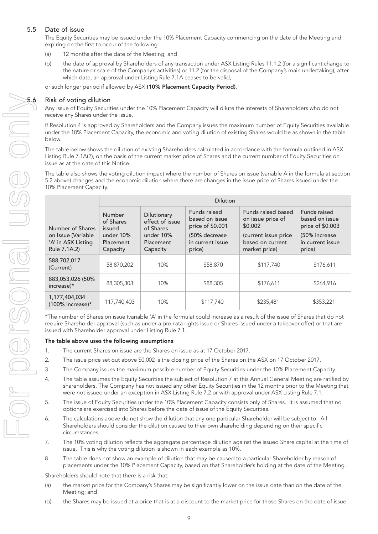## 5.5 Date of issue

The Equity Securities may be issued under the 10% Placement Capacity commencing on the date of the Meeting and expiring on the first to occur of the following:

- (a) 12 months after the date of the Meeting; and
- (b) the date of approval by Shareholders of any transaction under ASX Listing Rules 11.1.2 (for a significant change to the nature or scale of the Company's activities) or 11.2 (for the disposal of the Company's main undertaking), after which date, an approval under Listing Rule 7.1A ceases to be valid,

or such longer period if allowed by ASX (10% Placement Capacity Period).

Any issue of Equity Securities under the 10% Placement Capacity will dilute the interests of Shareholders who do not receive any Shares under the issue.

If Resolution 4 is approved by Shareholders and the Company issues the maximum number of Equity Securities available under the 10% Placement Capacity, the economic and voting dilution of existing Shares would be as shown in the table below.

The table below shows the dilution of existing Shareholders calculated in accordance with the formula outlined in ASX Listing Rule 7.1A(2), on the basis of the current market price of Shares and the current number of Equity Securities on issue as at the date of this Notice.

The table also shows the voting dilution impact where the number of Shares on issue (variable A in the formula at section 5.2 above) changes and the economic dilution where there are changes in the issue price of Shares issued under the 10% Placement Capacity.

|                                                                              | <b>Dilution</b>                                                                                                                                          |     |                                                                                                    |                                                                                                                 |                                                                                                   |  |  |
|------------------------------------------------------------------------------|----------------------------------------------------------------------------------------------------------------------------------------------------------|-----|----------------------------------------------------------------------------------------------------|-----------------------------------------------------------------------------------------------------------------|---------------------------------------------------------------------------------------------------|--|--|
| Number of Shares<br>on Issue (Variable<br>'A' in ASX Listing<br>Rule 7.1A.2) | Number<br>Dilutionary<br>effect of issue<br>of Shares<br>of Shares<br>issued<br>under 10%<br>under 10%<br>Placement<br>Placement<br>Capacity<br>Capacity |     | Funds raised<br>based on issue<br>price of \$0.001<br>(50% decrease)<br>in current issue<br>price) | Funds raised based<br>on issue price of<br>\$0.002<br>(current issue price<br>based on current<br>market price) | Funds raised<br>based on issue<br>price of \$0.003<br>(50% increase<br>in current issue<br>price) |  |  |
| 588,702,017<br>58,870,202<br>(Current)                                       |                                                                                                                                                          | 10% | \$58,870                                                                                           | \$117.740                                                                                                       | \$176,611                                                                                         |  |  |
| 883,053,026 (50%)<br>88,305,303<br>increase)*                                |                                                                                                                                                          | 10% | \$88,305                                                                                           | \$176,611                                                                                                       | \$264,916                                                                                         |  |  |
| 1,177,404,034<br>$(100\%$ increase)*                                         | 117,740,403                                                                                                                                              | 10% | \$117,740                                                                                          | \$235,481                                                                                                       | \$353,221                                                                                         |  |  |

\*The number of Shares on issue (variable 'A' in the formula) could increase as a result of the issue of Shares that do not require Shareholder approval (such as under a pro-rata rights issue or Shares issued under a takeover offer) or that are issued with Shareholder approval under Listing Rule 7.1.

### The table above uses the following assumptions:

- 1. The current Shares on issue are the Shares on issue as at 17 October 2017.
- 2. The issue price set out above \$0.002 is the closing price of the Shares on the ASX on 17 October 2017.
- 3. The Company issues the maximum possible number of Equity Securities under the 10% Placement Capacity.
- 4. The table assumes the Equity Securities the subject of Resolution 7 at this Annual General Meeting are ratified by shareholders. The Company has not issued any other Equity Securities in the 12 months prior to the Meeting that were not issued under an exception in ASX Listing Rule 7.2 or with approval under ASX Listing Rule 7.1.
- 5. The issue of Equity Securities under the 10% Placement Capacity consists only of Shares. It is assumed that no options are exercised into Shares before the date of issue of the Equity Securities.
- 6. The calculations above do not show the dilution that any one particular Shareholder will be subject to. All Shareholders should consider the dilution caused to their own shareholding depending on their specific circumstances.
- 7. The 10% voting dilution reflects the aggregate percentage dilution against the issued Share capital at the time of issue. This is why the voting dilution is shown in each example as 10%.
- 8. The table does not show an example of dilution that may be caused to a particular Shareholder by reason of placements under the 10% Placement Capacity, based on that Shareholder's holding at the date of the Meeting.

Shareholders should note that there is a risk that:

- (a) the market price for the Company's Shares may be significantly lower on the issue date than on the date of the Meeting; and
- (b) the Shares may be issued at a price that is at a discount to the market price for those Shares on the date of issue.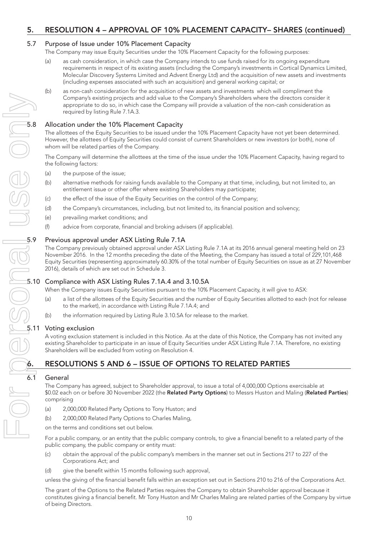## 5. RESOLUTION 4 – APPROVAL OF 10% PLACEMENT CAPACITY– SHARES (continued)

## 5.7 Purpose of Issue under 10% Placement Capacity

- The Company may issue Equity Securities under the 10% Placement Capacity for the following purposes:
	- (a) as cash consideration, in which case the Company intends to use funds raised for its ongoing expenditure requirements in respect of its existing assets (including the Company's investments in Cortical Dynamics Limited, Molecular Discovery Systems Limited and Advent Energy Ltd) and the acquisition of new assets and investments (including expenses associated with such an acquisition) and general working capital; or
	- (b) as non-cash consideration for the acquisition of new assets and investments which will compliment the Company's existing projects and add value to the Company's Shareholders where the directors consider it appropriate to do so, in which case the Company will provide a valuation of the non-cash consideration as required by listing Rule 7.1A.3.

The allottees of the Equity Securities to be issued under the 10% Placement Capacity have not yet been determined. However, the allottees of Equity Securities could consist of current Shareholders or new investors (or both), none of whom will be related parties of the Company.

The Company will determine the allottees at the time of the issue under the 10% Placement Capacity, having regard to the following factors:

- (a) the purpose of the issue;
- (b) alternative methods for raising funds available to the Company at that time, including, but not limited to, an entitlement issue or other offer where existing Shareholders may participate;
- (c) the effect of the issue of the Equity Securities on the control of the Company;
- (d) the Company's circumstances, including, but not limited to, its financial position and solvency;
- (e) prevailing market conditions; and
- (f) advice from corporate, financial and broking advisers (if applicable).

## 5.9 Previous approval under ASX Listing Rule 7.1A

The Company previously obtained approval under ASX Listing Rule 7.1A at its 2016 annual general meeting held on 23 November 2016. In the 12 months preceding the date of the Meeting, the Company has issued a total of 229,101,468 Equity Securities (representing approximately 60.30% of the total number of Equity Securities on issue as at 27 November 2016), details of which are set out in Schedule 3.

## 5.10 Compliance with ASX Listing Rules 7.1A.4 and 3.10.5A

When the Company issues Equity Securities pursuant to the 10% Placement Capacity, it will give to ASX:

- a list of the allottees of the Equity Securities and the number of Equity Securities allotted to each (not for release to the market), in accordance with Listing Rule 7.1A.4; and
- the information required by Listing Rule 3.10.5A for release to the market.

## 5.11 Voting exclusion

A voting exclusion statement is included in this Notice. As at the date of this Notice, the Company has not invited any existing Shareholder to participate in an issue of Equity Securities under ASX Listing Rule 7.1A. Therefore, no existing Shareholders will be excluded from voting on Resolution 4.

## **General**

**6. RESOLUTIONS 5 AND 6 – ISSUE OF OPTIONS TO RELATED PARTIES**<br> **6.1** General The Company has agreed, subject to Shareholder approval, to issue a total **6.1** S0.02 each on or before 30 November 2022 (the **Company of the Se** The Company has agreed, subject to Shareholder approval, to issue a total of 4,000,000 Options exercisable at \$0.02 each on or before 30 November 2022 (the Related Party Options) to Messrs Huston and Maling (Related Parties) comprising

- (a) 2,000,000 Related Party Options to Tony Huston; and
- (b) 2,000,000 Related Party Options to Charles Maling,

on the terms and conditions set out below.

For a public company, or an entity that the public company controls, to give a financial benefit to a related party of the public company, the public company or entity must:

- (c) obtain the approval of the public company's members in the manner set out in Sections 217 to 227 of the Corporations Act; and
- (d) give the benefit within 15 months following such approval,

unless the giving of the financial benefit falls within an exception set out in Sections 210 to 216 of the Corporations Act.

The grant of the Options to the Related Parties requires the Company to obtain Shareholder approval because it constitutes giving a financial benefit. Mr Tony Huston and Mr Charles Maling are related parties of the Company by virtue of being Directors.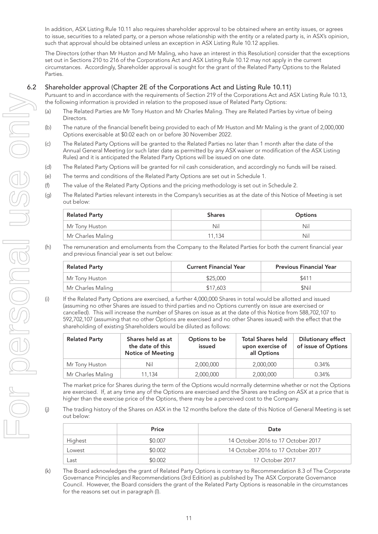In addition, ASX Listing Rule 10.11 also requires shareholder approval to be obtained where an entity issues, or agrees to issue, securities to a related party, or a person whose relationship with the entity or a related party is, in ASX's opinion, such that approval should be obtained unless an exception in ASX Listing Rule 10.12 applies.

The Directors (other than Mr Huston and Mr Maling, who have an interest in this Resolution) consider that the exceptions set out in Sections 210 to 216 of the Corporations Act and ASX Listing Rule 10.12 may not apply in the current circumstances. Accordingly, Shareholder approval is sought for the grant of the Related Party Options to the Related Parties.

### 6.2 Shareholder approval (Chapter 2E of the Corporations Act and Listing Rule 10.11)

Pursuant to and in accordance with the requirements of Section 219 of the Corporations Act and ASX Listing Rule 10.13, the following information is provided in relation to the proposed issue of Related Party Options:

- (a) The Related Parties are Mr Tony Huston and Mr Charles Maling. They are Related Parties by virtue of being Directors.
- (b) The nature of the financial benefit being provided to each of Mr Huston and Mr Maling is the grant of 2,000,000 Options exercisable at \$0.02 each on or before 30 November 2022.
- (c) The Related Party Options will be granted to the Related Parties no later than 1 month after the date of the Annual General Meeting (or such later date as permitted by any ASX waiver or modification of the ASX Listing Rules) and it is anticipated the Related Party Options will be issued on one date.
- (d) The Related Party Options will be granted for nil cash consideration, and accordingly no funds will be raised.
- (e) The terms and conditions of the Related Party Options are set out in Schedule 1.
- (f) The value of the Related Party Options and the pricing methodology is set out in Schedule 2.
- (g) The Related Parties relevant interests in the Company's securities as at the date of this Notice of Meeting is set out below:

| <b>Related Party</b> | <b>Shares</b> | <b>Options</b> |
|----------------------|---------------|----------------|
| Mr Tony Huston       | Nil           | Nil            |
| Mr Charles Maling    | 11.134        | Nil            |

(h) The remuneration and emoluments from the Company to the Related Parties for both the current financial year and previous financial year is set out below:

| <b>Related Party</b> | <b>Current Financial Year</b> | <b>Previous Financial Year</b> |  |
|----------------------|-------------------------------|--------------------------------|--|
| Mr Tony Huston       | \$25,000                      | \$411                          |  |
| Mr Charles Maling    | \$17,603                      | \$Nil                          |  |

(i) If the Related Party Options are exercised, a further 4,000,000 Shares in total would be allotted and issued (assuming no other Shares are issued to third parties and no Options currently on issue are exercised or cancelled). This will increase the number of Shares on issue as at the date of this Notice from 588,702,107 to 592,702,107 (assuming that no other Options are exercised and no other Shares issued) with the effect that the shareholding of existing Shareholders would be diluted as follows:

| <b>Related Party</b> | Shares held as at<br>the date of this<br><b>Notice of Meeting</b> | Options to be<br>issued | <b>Total Shares held</b><br>upon exercise of<br>all Options | <b>Dilutionary effect</b><br>of issue of Options |
|----------------------|-------------------------------------------------------------------|-------------------------|-------------------------------------------------------------|--------------------------------------------------|
| Mr Tony Huston       | Nil                                                               | 2,000,000               | 2,000,000                                                   | 0.34%                                            |
| Mr Charles Maling    | 11.134                                                            | 2,000,000               | 2,000,000                                                   | 0.34%                                            |

The market price for Shares during the term of the Options would normally determine whether or not the Options are exercised. If, at any time any of the Options are exercised and the Shares are trading on ASX at a price that is higher than the exercise price of the Options, there may be a perceived cost to the Company.

(j) The trading history of the Shares on ASX in the 12 months before the date of this Notice of General Meeting is set out below:

|         | Price   | Date                               |
|---------|---------|------------------------------------|
| Highest | \$0.007 | 14 October 2016 to 17 October 2017 |
| Lowest  | \$0.002 | 14 October 2016 to 17 October 2017 |
| _ast    | \$0.002 | 17 October 2017                    |

(k) The Board acknowledges the grant of Related Party Options is contrary to Recommendation 8.3 of The Corporate Governance Principles and Recommendations (3rd Edition) as published by The ASX Corporate Governance Council. However, the Board considers the grant of the Related Party Options is reasonable in the circumstances for the reasons set out in paragraph (l).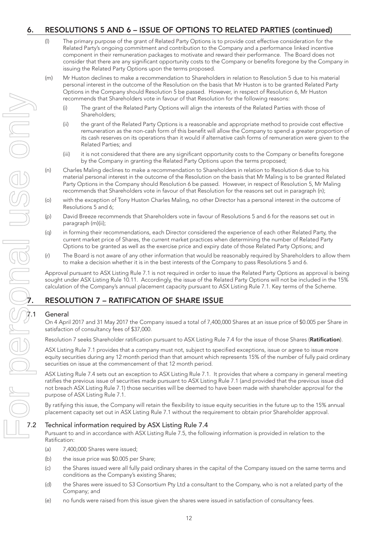## 6. RESOLUTIONS 5 AND 6 – ISSUE OF OPTIONS TO RELATED PARTIES (continued)

- (l) The primary purpose of the grant of Related Party Options is to provide cost effective consideration for the Related Party's ongoing commitment and contribution to the Company and a performance linked incentive component in their remuneration packages to motivate and reward their performance. The Board does not consider that there are any significant opportunity costs to the Company or benefits foregone by the Company in issuing the Related Party Options upon the terms proposed.
- (m) Mr Huston declines to make a recommendation to Shareholders in relation to Resolution 5 due to his material personal interest in the outcome of the Resolution on the basis that Mr Huston is to be granted Related Party Options in the Company should Resolution 5 be passed. However, in respect of Resolution 6, Mr Huston recommends that Shareholders vote in favour of that Resolution for the following reasons:
	- (i) The grant of the Related Party Options will align the interests of the Related Parties with those of Shareholders;
	- (ii) the grant of the Related Party Options is a reasonable and appropriate method to provide cost effective remuneration as the non-cash form of this benefit will allow the Company to spend a greater proportion of its cash reserves on its operations than it would if alternative cash forms of remuneration were given to the Related Parties; and
	- (iii) it is not considered that there are any significant opportunity costs to the Company or benefits foregone by the Company in granting the Related Party Options upon the terms proposed;
- (n) Charles Maling declines to make a recommendation to Shareholders in relation to Resolution 6 due to his material personal interest in the outcome of the Resolution on the basis that Mr Maling is to be granted Related Party Options in the Company should Resolution 6 be passed. However, in respect of Resolution 5, Mr Maling recommends that Shareholders vote in favour of that Resolution for the reasons set out in paragraph (n);
- (o) with the exception of Tony Huston Charles Maling, no other Director has a personal interest in the outcome of Resolutions 5 and 6;
- (p) David Breeze recommends that Shareholders vote in favour of Resolutions 5 and 6 for the reasons set out in paragraph (m)(ii);
- (q) in forming their recommendations, each Director considered the experience of each other Related Party, the current market price of Shares, the current market practices when determining the number of Related Party Options to be granted as well as the exercise price and expiry date of those Related Party Options; and
- (r) The Board is not aware of any other information that would be reasonably required by Shareholders to allow them to make a decision whether it is in the best interests of the Company to pass Resolutions 5 and 6.

Approval pursuant to ASX Listing Rule 7.1 is not required in order to issue the Related Party Options as approval is being sought under ASX Listing Rule 10.11. Accordingly, the issue of the Related Party Options will not be included in the 15% calculation of the Company's annual placement capacity pursuant to ASX Listing Rule 7.1. Key terms of the Scheme.

## **General**

On 4 April 2017 and 31 May 2017 the Company issued a total of 7,400,000 Shares at an issue price of \$0.005 per Share in satisfaction of consultancy fees of \$37,000.

Resolution 7 seeks Shareholder ratification pursuant to ASX Listing Rule 7.4 for the issue of those Shares (Ratification).

ASX Listing Rule 7.1 provides that a company must not, subject to specified exceptions, issue or agree to issue more equity securities during any 12 month period than that amount which represents 15% of the number of fully paid ordinary securities on issue at the commencement of that 12 month period.

ASX Listing Rule 7.4 sets out an exception to ASX Listing Rule 7.1. It provides that where a company in general meeting ratifies the previous issue of securities made pursuant to ASX Listing Rule 7.1 (and provided that the previous issue did not breach ASX Listing Rule 7.1) those securities will be deemed to have been made with shareholder approval for the purpose of ASX Listing Rule 7.1.

By ratifying this issue, the Company will retain the flexibility to issue equity securities in the future up to the 15% annual placement capacity set out in ASX Listing Rule 7.1 without the requirement to obtain prior Shareholder approval.

## 7.2 Technical information required by ASX Listing Rule 7.4

Pursuant to and in accordance with ASX Listing Rule 7.5, the following information is provided in relation to the Ratification:

- (a) 7,400,000 Shares were issued;
- (b) the issue price was \$0.005 per Share;
- (c) the Shares issued were all fully paid ordinary shares in the capital of the Company issued on the same terms and conditions as the Company's existing Shares;
- (d) the Shares were issued to S3 Consortium Pty Ltd a consultant to the Company, who is not a related party of the Company; and
- (e) no funds were raised from this issue given the shares were issued in satisfaction of consultancy fees.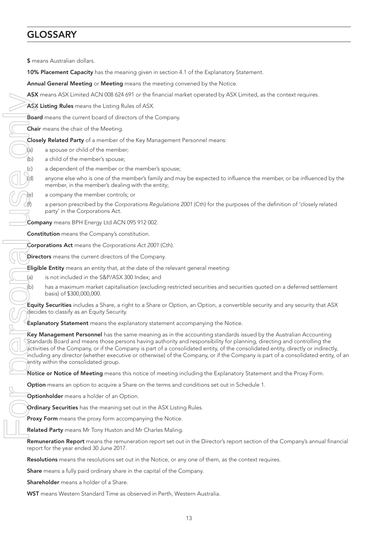# GLOSSARY

\$ means Australian dollars.

10% Placement Capacity has the meaning given in section 4.1 of the Explanatory Statement. Annual General Meeting or Meeting means the meeting convened by the Notice. ASX means ASX Limited ACN 008 624 691 or the financial market operated by ASX Limited, as the context requires. ASX Listing Rules means the Listing Rules of ASX. Board means the current board of directors of the Company. Chair means the chair of the Meeting. Closely Related Party of a member of the Key Management Personnel means:  $\lambda$ (a) a spouse or child of the member; (b) a child of the member's spouse; (c) a dependent of the member or the member's spouse; anyone else who is one of the member's family and may be expected to influence the member, or be influenced by the member, in the member's dealing with the entity; a company the member controls; or (f) a person prescribed by the *Corporations Regulations 2001* (Cth) for the purposes of the definition of 'closely related party' in the Corporations Act. Company means BPH Energy Ltd ACN 095 912 002. Constitution means the Company's constitution. Corporations Act means the *Corporations Act 2001* (Cth). Directors means the current directors of the Company. Eligible Entity means an entity that, at the date of the relevant general meeting: (a) is not included in the S&P/ASX 300 Index; and  $(b)$  has a maximum market capitalisation (excluding restricted securities and securities quoted on a deferred settlement basis) of \$300,000,000. Now Your Constitution means the Company is the Company and the Company and the Company of the Company Constitution (1997) a propose or child of the member of the Key Management Personnel means (a) a propose or child of the

Equity Securities includes a Share, a right to a Share or Option, an Option, a convertible security and any security that ASX decides to classify as an Equity Security.

 $\epsilon$ xplanatory Statement means the explanatory statement accompanying the Notice.

Key Management Personnel has the same meaning as in the accounting standards issued by the Australian Accounting Standards Board and means those persons having authority and responsibility for planning, directing and controlling the activities of the Company, or if the Company is part of a consolidated entity, of the consolidated entity, directly or indirectly, including any director (whether executive or otherwise) of the Company, or if the Company is part of a consolidated entity, of an entity within the consolidated group.

Notice or Notice of Meeting means this notice of meeting including the Explanatory Statement and the Proxy Form.

Option means an option to acquire a Share on the terms and conditions set out in Schedule 1.

Optionholder means a holder of an Option.

Ordinary Securities has the meaning set out in the ASX Listing Rules.

Proxy Form means the proxy form accompanying the Notice.

Related Party means Mr Tony Huston and Mr Charles Maling.

Remuneration Report means the remuneration report set out in the Director's report section of the Company's annual financial report for the year ended 30 June 2017.

Resolutions means the resolutions set out in the Notice, or any one of them, as the context requires.

Share means a fully paid ordinary share in the capital of the Company.

Shareholder means a holder of a Share.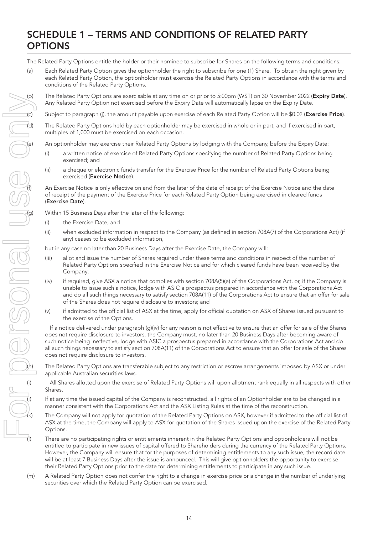# SCHEDULE 1 – TERMS AND CONDITIONS OF RELATED PARTY **OPTIONS**

The Related Party Options entitle the holder or their nominee to subscribe for Shares on the following terms and conditions:

(a) Each Related Party Option gives the optionholder the right to subscribe for one (1) Share. To obtain the right given by each Related Party Option, the optionholder must exercise the Related Party Options in accordance with the terms and conditions of the Related Party Options.

(b) The Related Party Options are exercisable at any time on or prior to 5:00pm (WST) on 30 November 2022 (Expiry Date). Any Related Party Option not exercised before the Expiry Date will automatically lapse on the Expiry Date.

(c) Subject to paragraph (j), the amount payable upon exercise of each Related Party Option will be \$0.02 (Exercise Price).

The Related Party Options held by each optionholder may be exercised in whole or in part, and if exercised in part, multiples of 1,000 must be exercised on each occasion.

An optionholder may exercise their Related Party Options by lodging with the Company, before the Expiry Date:

- (i) a written notice of exercise of Related Party Options specifying the number of Related Party Options being exercised; and
- (ii) a cheque or electronic funds transfer for the Exercise Price for the number of Related Party Options being exercised (Exercise Notice).

An Exercise Notice is only effective on and from the later of the date of receipt of the Exercise Notice and the date of receipt of the payment of the Exercise Price for each Related Party Option being exercised in cleared funds (Exercise Date).

- (i) the Exercise Date; and
- (ii) when excluded information in respect to the Company (as defined in section 708A(7) of the Corporations Act) (if any) ceases to be excluded information,

but in any case no later than 20 Business Days after the Exercise Date, the Company will:

- (iii) allot and issue the number of Shares required under these terms and conditions in respect of the number of Related Party Options specified in the Exercise Notice and for which cleared funds have been received by the Company;
- (iv) if required, give ASX a notice that complies with section 708A(5)(e) of the Corporations Act, or, if the Company is unable to issue such a notice, lodge with ASIC a prospectus prepared in accordance with the Corporations Act and do all such things necessary to satisfy section 708A(11) of the Corporations Act to ensure that an offer for sale of the Shares does not require disclosure to investors; and
- (v) if admitted to the official list of ASX at the time, apply for official quotation on ASX of Shares issued pursuant to the exercise of the Options.

If a notice delivered under paragraph (g)(iv) for any reason is not effective to ensure that an offer for sale of the Shares does not require disclosure to investors, the Company must, no later than 20 Business Days after becoming aware of such notice being ineffective, lodge with ASIC a prospectus prepared in accordance with the Corporations Act and do all such things necessary to satisfy section 708A(11) of the Corporations Act to ensure that an offer for sale of the Shares does not require disclosure to investors.

The Related Party Options are transferable subject to any restriction or escrow arrangements imposed by ASX or under applicable Australian securities laws.

All Shares allotted upon the exercise of Related Party Options will upon allotment rank equally in all respects with other Shares.

If at any time the issued capital of the Company is reconstructed, all rights of an Optionholder are to be changed in a manner consistent with the Corporations Act and the ASX Listing Rules at the time of the reconstruction.

The Company will not apply for quotation of the Related Party Options on ASX, however if admitted to the official list of ASX at the time, the Company will apply to ASX for quotation of the Shares issued upon the exercise of the Related Party Options.

There are no participating rights or entitlements inherent in the Related Party Options and optionholders will not be entitled to participate in new issues of capital offered to Shareholders during the currency of the Related Party Options. However, the Company will ensure that for the purposes of determining entitlements to any such issue, the record date will be at least 7 Business Days after the issue is announced. This will give optionholders the opportunity to exercise their Related Party Options prior to the date for determining entitlements to participate in any such issue.

(m) A Related Party Option does not confer the right to a change in exercise price or a change in the number of underlying securities over which the Related Party Option can be exercised.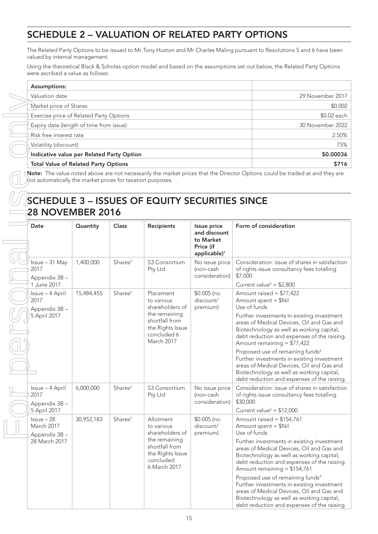# SCHEDULE 2 – VALUATION OF RELATED PARTY OPTIONS

The Related Party Options to be issued to Mr Tony Huston and Mr Charles Maling pursuant to Resolutions 5 and 6 have been valued by internal management.

Using the theoretical Black & Scholes option model and based on the assumptions set out below, the Related Party Options were ascribed a value as follows:

| Assumptions:                                   |                  |
|------------------------------------------------|------------------|
| Valuation date                                 | 29 November 2017 |
| Market price of Shares                         | \$0.002          |
| <b>Exercise price of Related Party Options</b> | \$0.02 each      |
| Expiry date (length of time from issue)        | 30 November 2022 |
| Risk free interest rate                        | 2.50%            |
| Volatility (discount)                          | 75%              |
| Indicative value per Related Party Option      | \$0.00036        |
| <b>Total Value of Related Party Options</b>    | \$716            |

Note: The value noted above are not necessarily the market prices that the Director Options could be traded at and they are not automatically the market prices for taxation purposes.

# SCHEDULE 3 – ISSUES OF EQUITY SECURITIES SINCE 28 NOVEMBER 2016

| Date                                                                          | Quantity   | <b>Class</b>        | <b>Recipients</b>                                                                                                              | Issue price<br>and discount<br>to Market<br>Price (if<br>applicable) <sup>1</sup> | Form of consideration                                                                                                                                                                                                                                                                                                                                                                                                                                                                                                       |
|-------------------------------------------------------------------------------|------------|---------------------|--------------------------------------------------------------------------------------------------------------------------------|-----------------------------------------------------------------------------------|-----------------------------------------------------------------------------------------------------------------------------------------------------------------------------------------------------------------------------------------------------------------------------------------------------------------------------------------------------------------------------------------------------------------------------------------------------------------------------------------------------------------------------|
| Issue - 31 May<br>2017<br>Appendix 3B-<br>1 June 2017                         | 1,400,000  | Shares <sup>2</sup> | S3 Consortium<br>Pty Ltd                                                                                                       | No issue price<br>(non-cash<br>consideration)                                     | Consideration: issue of shares in satisfaction<br>of rights issue consultancy fees totalling<br>\$7,000                                                                                                                                                                                                                                                                                                                                                                                                                     |
| Issue - 4 April<br>2017<br>Appendix 3B-<br>5 April 2017                       | 15,484,455 | Shares <sup>2</sup> | Placement<br>to various<br>shareholders of<br>the remaining<br>shortfall from<br>the Rights Issue<br>concluded 6<br>March 2017 | $$0.005$ (no<br>discount/<br>premium)                                             | Current value <sup>5</sup> = $$2,800$<br>Amount raised = $$77,422$<br>Amount spent = \$Nil<br>Use of funds<br>Further investments in existing investment<br>areas of Medical Devices, Oil and Gas and<br>Biotechnology as well as working capital,<br>debt reduction and expenses of the raising.<br>Amount remaining $= $77,422$                                                                                                                                                                                           |
|                                                                               |            |                     |                                                                                                                                |                                                                                   | Proposed use of remaining funds <sup>4</sup><br>Further investments in existing investment<br>areas of Medical Devices, Oil and Gas and<br>Biotechnology as well as working capital,<br>debt reduction and expenses of the raising.                                                                                                                                                                                                                                                                                         |
| Issue - 4 April<br>2017<br>Appendix 3B-                                       | 6,000,000  | Shares <sup>2</sup> | S3 Consortium<br>Pty Ltd                                                                                                       | No issue price<br>(non-cash<br>consideration)                                     | Consideration: issue of shares in satisfaction<br>of rights issue consultancy fees totalling<br>\$30,000                                                                                                                                                                                                                                                                                                                                                                                                                    |
| 5 April 2017<br>$l$ ssue $-28$<br>March 2017<br>Appendix 3B-<br>28 March 2017 | 30,952,183 | Shares <sup>2</sup> | Allotment<br>to various<br>shareholders of<br>the remaining<br>shortfall from<br>the Rights Issue<br>concluded<br>6 March 2017 | $$0.005$ (no<br>discount/<br>premium)                                             | Current value <sup>5</sup> = $$12,000$<br>Amount raised = $$154,761$<br>Amount spent = \$Nil<br>Use of funds<br>Further investments in existing investment<br>areas of Medical Devices, Oil and Gas and<br>Biotechnology as well as working capital,<br>debt reduction and expenses of the raising.<br>Amount remaining = \$154,761<br>Proposed use of remaining funds <sup>4</sup><br>Further investments in existing investment<br>areas of Medical Devices, Oil and Gas and<br>Biotechnology as well as working capital, |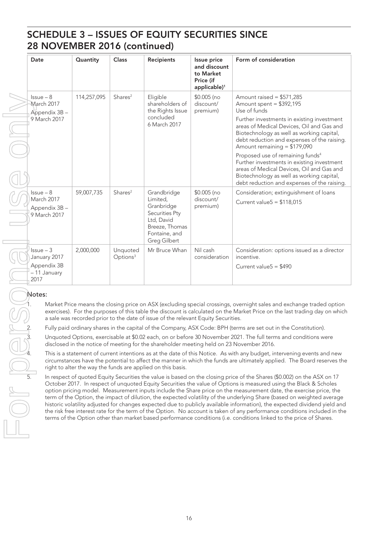# SCHEDULE 3 – ISSUES OF EQUITY SECURITIES SINCE 28 NOVEMBER 2016 (continued)

| Date                                                                 | Quantity    | Class                            | <b>Recipients</b>                                                                                                        | Issue price<br>and discount<br>to Market<br>Price (if | Form of consideration                                                                                                                                                                                                               |
|----------------------------------------------------------------------|-------------|----------------------------------|--------------------------------------------------------------------------------------------------------------------------|-------------------------------------------------------|-------------------------------------------------------------------------------------------------------------------------------------------------------------------------------------------------------------------------------------|
|                                                                      |             |                                  |                                                                                                                          | applicable) <sup>1</sup>                              |                                                                                                                                                                                                                                     |
| $l$ ssue $-8$<br>March 2017<br>Appendix 3B-                          | 114,257,095 | Shares <sup>2</sup>              | Eligible<br>shareholders of<br>the Rights Issue                                                                          | $$0.005$ (no<br>discount/<br>premium)                 | Amount raised = $$571,285$<br>Amount spent = $$392,195$<br>Use of funds                                                                                                                                                             |
| 9 March 2017                                                         |             |                                  | concluded<br>6 March 2017                                                                                                |                                                       | Further investments in existing investment<br>areas of Medical Devices, Oil and Gas and<br>Biotechnology as well as working capital,<br>debt reduction and expenses of the raising.<br>Amount remaining = \$179,090                 |
|                                                                      |             |                                  |                                                                                                                          |                                                       | Proposed use of remaining funds <sup>4</sup><br>Further investments in existing investment<br>areas of Medical Devices, Oil and Gas and<br>Biotechnology as well as working capital,<br>debt reduction and expenses of the raising. |
| $lssue-8$<br>March 2017<br>Appendix 3B-<br>9 March 2017              | 59,007,735  | Shares <sup>2</sup>              | Grandbridge<br>Limited,<br>Granbridge<br>Securities Pty<br>Ltd, David<br>Breeze, Thomas<br>Fontaine, and<br>Greg Gilbert | $$0.005$ (no<br>discount/<br>premium)                 | Consideration; extinguishment of loans<br>Current value $5 = $118,015$                                                                                                                                                              |
| $l$ ssue $-3$<br>January 2017<br>Appendix 3B<br>- 11 January<br>2017 | 2,000,000   | Unquoted<br>Options <sup>3</sup> | Mr Bruce Whan                                                                                                            | Nil cash<br>consideration                             | Consideration: options issued as a director<br>incentive.<br>Current value $5 = $490$                                                                                                                                               |

Market Price means the closing price on ASX (excluding special crossings, overnight sales and exchange traded option exercises). For the purposes of this table the discount is calculated on the Market Price on the last trading day on which a sale was recorded prior to the date of issue of the relevant Equity Securities.

2. Fully paid ordinary shares in the capital of the Company, ASX Code: BPH (terms are set out in the Constitution).

Unquoted Options, exercisable at \$0.02 each, on or before 30 November 2021. The full terms and conditions were disclosed in the notice of meeting for the shareholder meeting held on 23 November 2016.

This is a statement of current intentions as at the date of this Notice. As with any budget, intervening events and new circumstances have the potential to affect the manner in which the funds are ultimately applied. The Board reserves the right to alter the way the funds are applied on this basis.

In respect of quoted Equity Securities the value is based on the closing price of the Shares (\$0.002) on the ASX on 17 October 2017. In respect of unquoted Equity Securities the value of Options is measured using the Black & Scholes option pricing model. Measurement inputs include the Share price on the measurement date, the exercise price, the term of the Option, the impact of dilution, the expected volatility of the underlying Share (based on weighted average historic volatility adjusted for changes expected due to publicly available information), the expected dividend yield and the risk free interest rate for the term of the Option. No account is taken of any performance conditions included in the terms of the Option other than market based performance conditions (i.e. conditions linked to the price of Shares.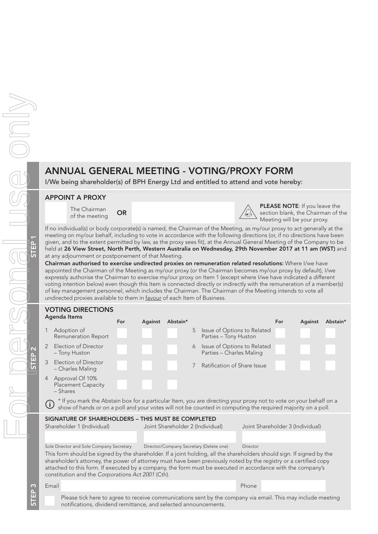# ANNUAL GENERAL MEETING - VOTING/PROXY FORM

I/We being shareholder(s) of BPH Energy Ltd and entitled to attend and vote hereby:

## APPOINT A PROXY

The Chairman The Chairman  $OR$ 



5 Issue of Options to Related Parties – Tony Huston

6 Issue of Options to Related Parties – Charles Maling

PLEASE NOTE: If you leave the section blank, the Chairman of the Meeting will be your proxy.

If no individual(s) or body corporate(s) is named, the Chairman of the Meeting, as my/our proxy to act generally at the meeting on my/our behalf, including to vote in accordance with the following directions (or, if no directions have been given, and to the extent permitted by law, as the proxy sees fit), at the Annual General Meeting of the Company to be held at 26 View Street, North Perth, Western Australia on Wednesday, 29th November 2017 at 11 am (WST) and at any adjournment or postponement of that Meeting.

Chairman authorised to exercise undirected proxies on remuneration related resolutions: Where I/we have appointed the Chairman of the Meeting as my/our proxy (or the Chairman becomes my/our proxy by default), I/we expressly authorise the Chairman to exercise my/our proxy on Item 1 (except where I/we have indicated a different voting intention below) even though this Item is connected directly or indirectly with the remuneration of a member(s) of key management personnel, which includes the Chairman. The Chairman of the Meeting intends to vote all undirected proxies available to them in favour of each Item of Business.

## VOTING DIRECTIONS Agenda Items For Against Abstain\* For Against Abstain\*

- 1 Adoption of Remuneration Report
- 2 Election of Director – Tony Huston
- 3 Election of Director – Charles Maling <sup>7</sup> Ratification of Share Issue
- 4 Approval Of 10% Placement Capacity – Shares
- \* If you mark the Abstain box for a particular Item, you are directing your proxy not to vote on your behalf on a G in you mank the Abstant box for a particular field, you are allocally you prefer to equired majority on a poll.

|                            | SIGNATURE OF SHAREHOLDERS – THIS MUST BE COMPLETED |
|----------------------------|----------------------------------------------------|
| Shareholder 1 (Individual) | Joint Shareholder 2 (Individual)                   |

Joint Shareholder 3 (Individual)

| Sole Director and Sole Company Secretary | Director/Company Secretary (Delete one) | Director |
|------------------------------------------|-----------------------------------------|----------|

This form should be signed by the shareholder. If a joint holding, all the shareholders should sign. If signed by the shareholder's attorney, the power of attorney must have been previously noted by the registry or a certified copy attached to this form. If executed by a company, the form must be executed in accordance with the company's constitution and the *Corporations Act 2001* (Cth).

Email Phone

Please tick here to agree to receive communications sent by the company via email. This may include meeting notifications, dividend remittance, and selected announcements.